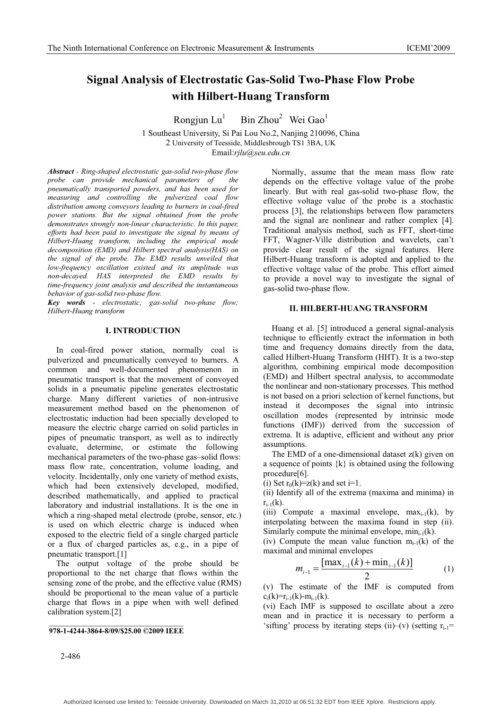# **Signal Analysis of Electrostatic Gas-Solid Two-Phase Flow Probe with Hilbert-Huang Transform**

Rongjun  $Lu^1$ Bin Zhou<sup>2</sup> Wei Gao<sup>1</sup>

1 Southeast University, Si Pai Lou No.2, Nanjing 210096, China 2 University of Teesside, Middlesbrough TS1 3BA, UK Email:*rjlu@seu.edu.cn* 

*Abstract - Ring-shaped electrostatic gas-solid two-phase flow probe can provide mechanical parameters of the pneumatically transported powders, and has been used for measuring and controlling the pulverized coal flow distribution among conveyors leading to burners in coal-fired power stations. But the signal obtained from the probe demonstrates strongly non-linear characteristic. In this paper, efforts had been paid to investigate the signal by means of Hilbert-Huang transform, including the empirical mode decomposition (EMD) and Hilbert spectral analysis(HAS) on the signal of the probe. The EMD results unveiled that low-frequency oscillation existed and its amplitude was non-decayed. HAS interpreted the EMD results by time-frequency joint analysis and described the instantaneous behavior of gas-solid two-phase flow.* 

*Key words - electrostatic; gas-solid two-phase flow; Hilbert-Huang transform* 

#### **I. INTRODUCTION**

In coal-fired power station, normally coal is pulverized and pneumatically conveyed to burners. A common and well-documented phenomenon in pneumatic transport is that the movement of convoyed solids in a pneumatic pipeline generates electrostatic charge. Many different varieties of non-intrusive measurement method based on the phenomenon of electrostatic induction had been specially developed to measure the electric charge carried on solid particles in pipes of pneumatic transport, as well as to indirectly evaluate, determine, or estimate the following mechanical parameters of the two-phase gas–solid flows: mass flow rate, concentration, volume loading, and velocity. Incidentally, only one variety of method exists, which had been extensively developed, modified, described mathematically, and applied to practical laboratory and industrial installations. It is the one in which a ring-shaped metal electrode (probe, sensor, etc.) is used on which electric charge is induced when exposed to the electric field of a single charged particle or a flux of charged particles as, e.g., in a pipe of pneumatic transport.[1]

 The output voltage of the probe should be proportional to the net charge that flows within the sensing zone of the probe, and the effective value (RMS) should be proportional to the mean value of a particle charge that flows in a pipe when with well defined calibration system.[2]

 $\mathcal{L}_\text{max}$  and  $\mathcal{L}_\text{max}$  and  $\mathcal{L}_\text{max}$  and  $\mathcal{L}_\text{max}$ **978-1-4244-3864-8/09/\$25.00 ©2009 IEEE** 

Normally, assume that the mean mass flow rate depends on the effective voltage value of the probe linearly. But with real gas-solid two-phase flow, the effective voltage value of the probe is a stochastic process [3], the relationships between flow parameters and the signal are nonlinear and rather complex [4]. Traditional analysis method, such as FFT, short-time FFT, Wagner-Ville distribution and wavelets, can't provide clear result of the signal features. Here Hilbert-Huang transform is adopted and applied to the effective voltage value of the probe. This effort aimed to provide a novel way to investigate the signal of gas-solid two-phase flow.

## **II. HILBERT-HUANG TRANSFORM**

Huang et al. [5] introduced a general signal-analysis technique to efficiently extract the information in both time and frequency domains directly from the data, called Hilbert-Huang Transform (HHT). It is a two-step algorithm, combining empirical mode decomposition (EMD) and Hilbert spectral analysis, to accommodate the nonlinear and non-stationary processes. This method is not based on a priori selection of kernel functions, but instead it decomposes the signal into intrinsic oscillation modes (represented by intrinsic mode functions (IMF)) derived from the succession of extrema. It is adaptive, efficient and without any prior assumptions.

The EMD of a one-dimensional dataset  $z(k)$  given on a sequence of points  $\{k\}$  is obtained using the following procedure[6].

(i) Set  $r_0(k)=z(k)$  and set i=1.

(ii) Identify all of the extrema (maxima and minima) in  $r_{i-1}(k)$ .

(iii) Compute a maximal envelope,  $max_{i=1}(k)$ , by interpolating between the maxima found in step (ii). Similarly compute the minimal envelope,  $min_{i=1}(k)$ .

(iv) Compute the mean value function  $m_{i-1}(k)$  of the maximal and minimal envelopes

$$
m_{i-1} = \frac{[\max_{i-1}(k) + \min_{i-1}(k)]}{2} \tag{1}
$$

(v) The estimate of the IMF is computed from  $c_i(k)=r_{i-1}(k)-m_{i-1}(k)$ .

(vi) Each IMF is supposed to oscillate about a zero mean and in practice it is necessary to perform a 'sifting' process by iterating steps (ii)–(v) (setting  $r_{i-1}$ =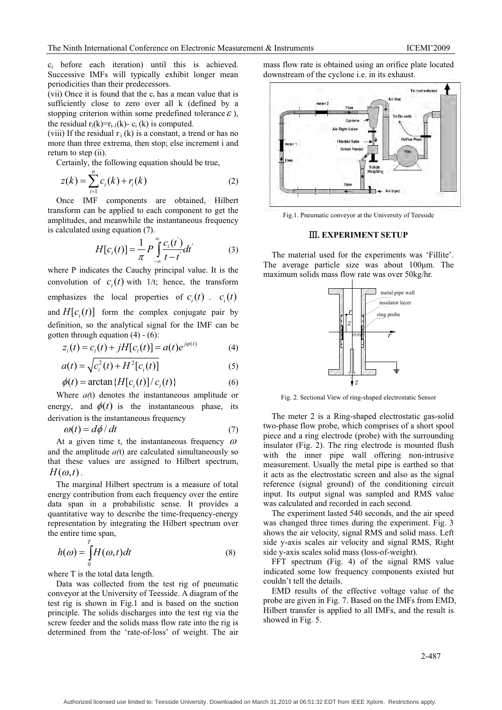ci before each iteration) until this is achieved. Successive IMFs will typically exhibit longer mean periodicities than their predecessors.

(vii) Once it is found that the  $c_i$  has a mean value that is sufficiently close to zero over all k (defined by a stopping criterion within some predefined tolerance  $\varepsilon$ ), the residual  $r_i(k)=r_{i-1}(k)-c_i(k)$  is computed.

(viii) If the residual  $r_i(k)$  is a constant, a trend or has no more than three extrema, then stop; else increment i and return to step (ii).

Certainly, the following equation should be true,

$$
z(k) = \sum_{i=1}^{n} c_i(k) + r_i(k)
$$
 (2)

Once IMF components are obtained, Hilbert transform can be applied to each component to get the amplitudes, and meanwhile the instantaneous frequency is calculated using equation (7).

$$
H[c_i(t)] = \frac{1}{\pi} P \int_{-\infty}^{\infty} \frac{c_i(t)}{t - t} dt
$$
 (3)

where P indicates the Cauchy principal value. It is the convolution of  $c_i(t)$  with 1/t; hence, the transform emphasizes the local properties of  $c_i(t)$  .  $c_i(t)$ and  $H[c_i(t)]$  form the complex conjugate pair by definition, so the analytical signal for the IMF can be gotten through equation  $(4) - (6)$ :

$$
z_i(t) = c_i(t) + jH[c_i(t)] = a(t)e^{j\varphi(t)}
$$
 (4)

$$
a(t) = \sqrt{c_i^2(t) + H^2[c_i(t)]}
$$
 (5)

$$
\phi(t) = \arctan\{H[c_i(t)]/c_i(t)\}\tag{6}
$$

Where *a(*t) denotes the instantaneous amplitude or energy, and  $\phi(t)$  is the instantaneous phase, its derivation is the instantaneous frequency

$$
\omega(t) = d\phi/dt \tag{7}
$$

At a given time t, the instantaneous frequency  $\omega$ and the amplitude *a(*t) are calculated simultaneously so that these values are assigned to Hilbert spectrum,  $H(\omega,t)$ .

The marginal Hilbert spectrum is a measure of total energy contribution from each frequency over the entire data span in a probabilistic sense. It provides a quantitative way to describe the time-frequency-energy representation by integrating the Hilbert spectrum over the entire time span,

$$
h(\omega) = \int_{0}^{T} H(\omega, t)dt
$$
 (8)

where T is the total data length.

Data was collected from the test rig of pneumatic conveyor at the University of Teesside. A diagram of the test rig is shown in Fig.1 and is based on the suction principle. The solids discharges into the test rig via the screw feeder and the solids mass flow rate into the rig is determined from the 'rate-of-loss' of weight. The air

mass flow rate is obtained using an orifice plate located downstream of the cyclone i.e. in its exhaust.



Fig.1. Pneumatic conveyor at the University of Teesside

## **III. EXPERIMENT SETUP**

The material used for the experiments was 'Fillite'. The average particle size was about  $100 \mu m$ . The maximum solids mass flow rate was over 50kg/hr.



Fig. 2. Sectional View of ring-shaped electrostatic Sensor

The meter 2 is a Ring-shaped electrostatic gas-solid two-phase flow probe, which comprises of a short spool piece and a ring electrode (probe) with the surrounding insulator (Fig. 2). The ring electrode is mounted flush with the inner pipe wall offering non-intrusive measurement. Usually the metal pipe is earthed so that it acts as the electrostatic screen and also as the signal reference (signal ground) of the conditioning circuit input. Its output signal was sampled and RMS value was calculated and recorded in each second.

 The experiment lasted 540 seconds, and the air speed was changed three times during the experiment. Fig. 3 shows the air velocity, signal RMS and solid mass. Left side y-axis scales air velocity and signal RMS, Right side y-axis scales solid mass (loss-of-weight).

FFT spectrum (Fig. 4) of the signal RMS value indicated some low frequency components existed but couldn't tell the details.

EMD results of the effective voltage value of the probe are given in Fig. 7. Based on the IMFs from EMD, Hilbert transfer is applied to all IMFs, and the result is showed in Fig. 5.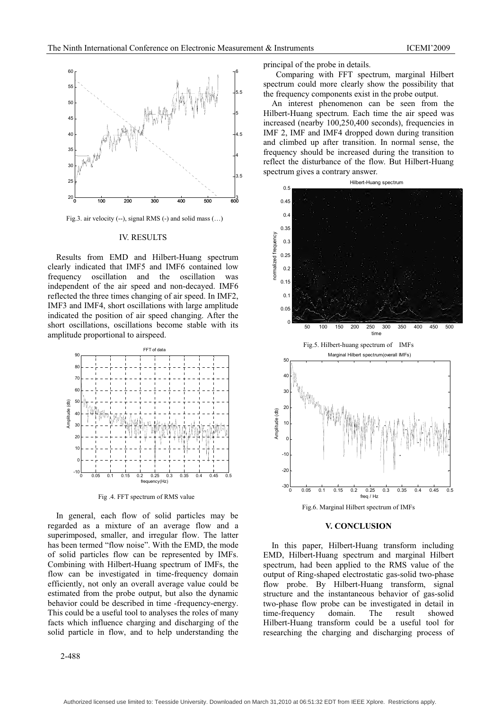

Fig.3. air velocity (--), signal RMS (-) and solid mass (…)

#### IV. RESULTS

Results from EMD and Hilbert-Huang spectrum clearly indicated that IMF5 and IMF6 contained low frequency oscillation and the oscillation was independent of the air speed and non-decayed. IMF6 reflected the three times changing of air speed. In IMF2, IMF3 and IMF4, short oscillations with large amplitude indicated the position of air speed changing. After the short oscillations, oscillations become stable with its amplitude proportional to airspeed.



Fig .4. FFT spectrum of RMS value

 In general, each flow of solid particles may be regarded as a mixture of an average flow and a superimposed, smaller, and irregular flow. The latter has been termed "flow noise". With the EMD, the mode of solid particles flow can be represented by IMFs. Combining with Hilbert-Huang spectrum of IMFs, the flow can be investigated in time-frequency domain efficiently, not only an overall average value could be estimated from the probe output, but also the dynamic behavior could be described in time -frequency-energy. This could be a useful tool to analyses the roles of many facts which influence charging and discharging of the solid particle in flow, and to help understanding the

2-488

principal of the probe in details.

 Comparing with FFT spectrum, marginal Hilbert spectrum could more clearly show the possibility that the frequency components exist in the probe output.

An interest phenomenon can be seen from the Hilbert-Huang spectrum. Each time the air speed was increased (nearby 100,250,400 seconds), frequencies in IMF 2, IMF and IMF4 dropped down during transition and climbed up after transition. In normal sense, the frequency should be increased during the transition to reflect the disturbance of the flow. But Hilbert-Huang spectrum gives a contrary answer.



#### **V. CONCLUSION**

In this paper, Hilbert-Huang transform including EMD, Hilbert-Huang spectrum and marginal Hilbert spectrum, had been applied to the RMS value of the output of Ring-shaped electrostatic gas-solid two-phase flow probe. By Hilbert-Huang transform, signal structure and the instantaneous behavior of gas-solid two-phase flow probe can be investigated in detail in time-frequency domain. The result showed Hilbert-Huang transform could be a useful tool for researching the charging and discharging process of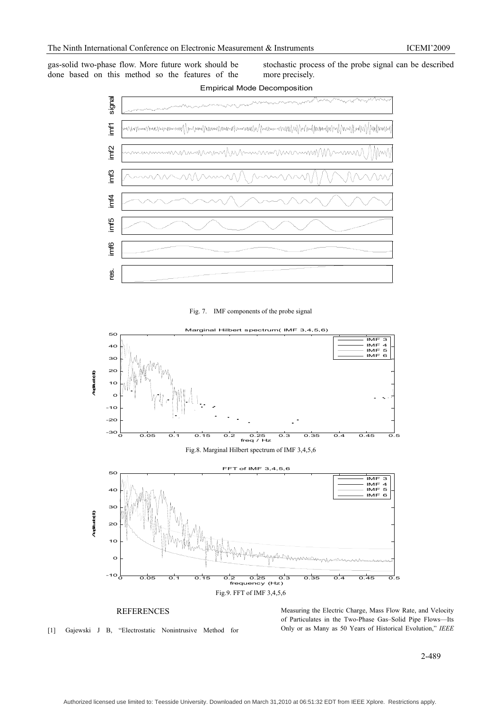gas-solid two-phase flow. More future work should be done based on this method so the features of the stochastic process of the probe signal can be described more precisely.



Fig. 7. IMF components of the probe signal



## REFERENCES

Measuring the Electric Charge, Mass Flow Rate, and Velocity of Particulates in the Two-Phase Gas–Solid Pipe Flows—Its Only or as Many as 50 Years of Historical Evolution," *IEEE* 

[1] Gajewski J B, "Electrostatic Nonintrusive Method for